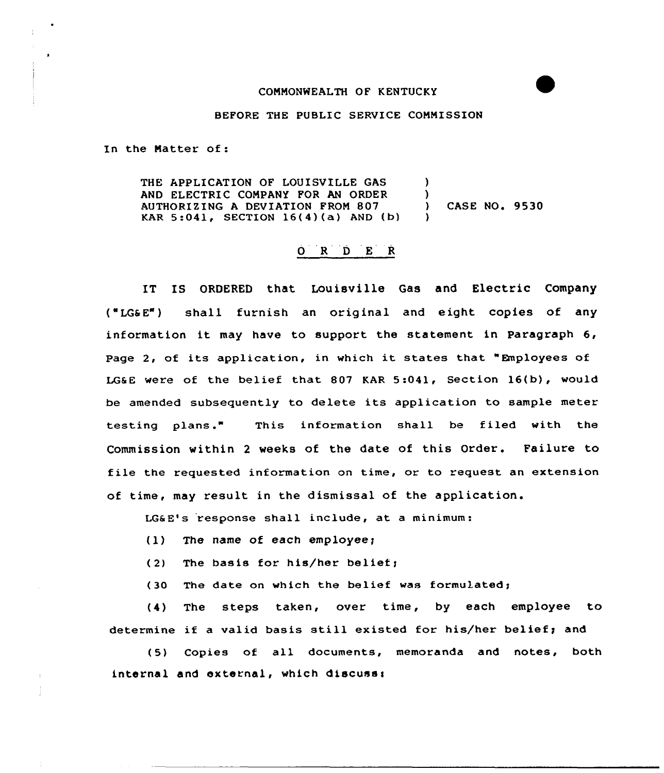## CONMONWEALTH OF KENTUCKY

## BEFORE THE PUBLIC SERVICE CONNISSION

In the Natter of:

THE APPLICATION OF LOUISVILLE GAS AND ELECTRIC COMPANY FOR AN ORDER  $\vert$  )<br>AUTHORIZING A DEVIATION FROM 807  $\vert$  ) AUTHORIZING <sup>A</sup> DEVIATION FRON 807 ) CASE NQ. 9530 KAR 5:041, SECTION 16(4)(a) AND (b) )

## 0 R <sup>D</sup> E <sup>R</sup>

IT IS ORDERED that Louisville Gas and Electric Company ("LG6 E") shall furnish an original and eight copies of any information it may have to support the statement in Paragraph 6, Page 2, of its application, in which it states that "Employees of LG&E were of the belief that 807 KAR 5:041, Section 16(b), would be amended subsequently to delete its application to sample meter testing plans." This information shall be filed with the Commission within <sup>2</sup> weeks of the date of this Order. Failure to file the requested information on time, or to request an extension of time, may result in the dismissal of the application.

LG&E's response shall include, at a minimum:

- $(1)$  The name of each employee;
- (2) The basis for his/her belief;
- (30 The date on which the belief was formulated;

(4) The steps taken, over time, by each employee to determine if a valid basis still existed for his/her belief; and

(5) Copies of all documents, memoranda and notes, both internal and external, which discuss: